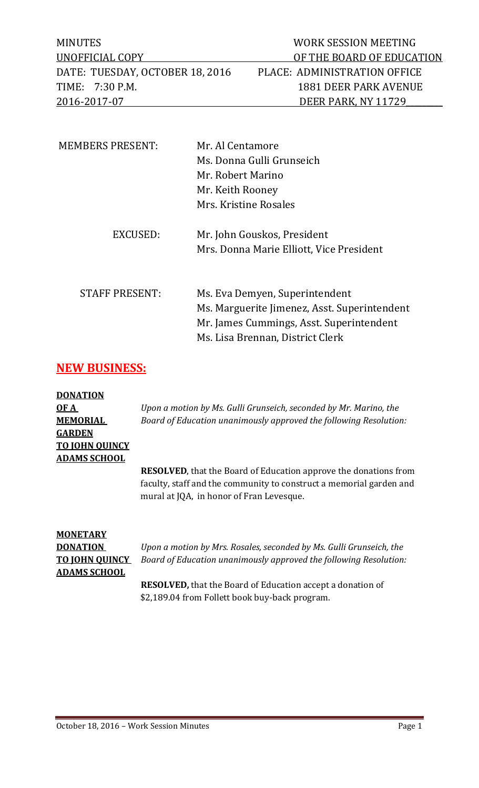MINUTES WORK SESSION MEETING DATE: TUESDAY, OCTOBER 18, 2016 PLACE: ADMINISTRATION OFFICE TIME: 7:30 P.M. 1881 DEER PARK AVENUE 2016-2017-07 DEER PARK, NY 11729

| <b>MEMBERS PRESENT:</b> | Mr. Al Centamore                             |
|-------------------------|----------------------------------------------|
|                         | Ms. Donna Gulli Grunseich                    |
|                         | Mr. Robert Marino                            |
|                         | Mr. Keith Rooney                             |
|                         | Mrs. Kristine Rosales                        |
| EXCUSED:                | Mr. John Gouskos, President                  |
|                         | Mrs. Donna Marie Elliott, Vice President     |
|                         |                                              |
| <b>STAFF PRESENT:</b>   | Ms. Eva Demyen, Superintendent               |
|                         | Ms. Marguerite Jimenez, Asst. Superintendent |
|                         | Mr. James Cummings, Asst. Superintendent     |
|                         | Ms. Lisa Brennan, District Clerk             |

## **NEW BUSINESS:**

**DONATION GARDEN TO JOHN QUINCY ADAMS SCHOOL**

**OF A** *Upon a motion by Ms. Gulli Grunseich, seconded by Mr. Marino, the*  **MEMORIAL** *Board of Education unanimously approved the following Resolution:*

> **RESOLVED**, that the Board of Education approve the donations from faculty, staff and the community to construct a memorial garden and mural at JQA, in honor of Fran Levesque.

# **MONETARY ADAMS SCHOOL**

**DONATION** *Upon a motion by Mrs. Rosales, seconded by Ms. Gulli Grunseich, the*  **TO JOHN QUINCY** *Board of Education unanimously approved the following Resolution:*

> **RESOLVED,** that the Board of Education accept a donation of \$2,189.04 from Follett book buy-back program.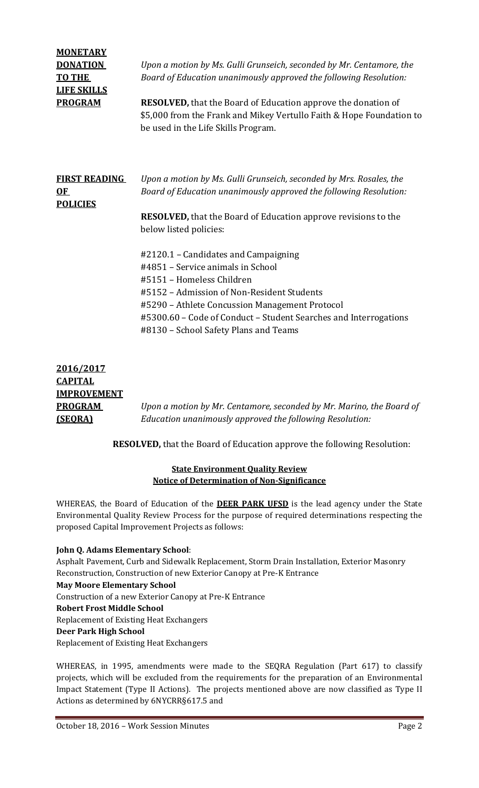| <b>MONETARY</b><br><b>DONATION</b><br><b>TO THE</b><br><b>LIFE SKILLS</b><br><b>PROGRAM</b> | Upon a motion by Ms. Gulli Grunseich, seconded by Mr. Centamore, the<br>Board of Education unanimously approved the following Resolution:<br><b>RESOLVED, that the Board of Education approve the donation of</b><br>\$5,000 from the Frank and Mikey Vertullo Faith & Hope Foundation to<br>be used in the Life Skills Program. |
|---------------------------------------------------------------------------------------------|----------------------------------------------------------------------------------------------------------------------------------------------------------------------------------------------------------------------------------------------------------------------------------------------------------------------------------|
| <b>FIRST READING</b><br>OF<br><b>POLICIES</b>                                               | Upon a motion by Ms. Gulli Grunseich, seconded by Mrs. Rosales, the<br>Board of Education unanimously approved the following Resolution:<br><b>RESOLVED</b> , that the Board of Education approve revisions to the<br>below listed policies:<br>#2120.1 – Candidates and Campaigning<br>#4851 – Service animals in School        |
|                                                                                             | #5151 - Homeless Children<br>#5152 – Admission of Non-Resident Students<br>#5290 - Athlete Concussion Management Protocol<br>#5300.60 - Code of Conduct - Student Searches and Interrogations<br>#8130 - School Safety Plans and Teams                                                                                           |

| 2016/2017          |                                                                      |
|--------------------|----------------------------------------------------------------------|
| <b>CAPITAL</b>     |                                                                      |
| <b>IMPROVEMENT</b> |                                                                      |
| <b>PROGRAM</b>     | Upon a motion by Mr. Centamore, seconded by Mr. Marino, the Board of |
| (SEORA)            | Education unanimously approved the following Resolution:             |
|                    |                                                                      |

**RESOLVED,** that the Board of Education approve the following Resolution:

#### **State Environment Quality Review Notice of Determination of Non-Significance**

WHEREAS, the Board of Education of the **DEER PARK UFSD** is the lead agency under the State Environmental Quality Review Process for the purpose of required determinations respecting the proposed Capital Improvement Projects as follows:

#### **John Q. Adams Elementary School**:

Asphalt Pavement, Curb and Sidewalk Replacement, Storm Drain Installation, Exterior Masonry Reconstruction, Construction of new Exterior Canopy at Pre-K Entrance **May Moore Elementary School** Construction of a new Exterior Canopy at Pre-K Entrance **Robert Frost Middle School** Replacement of Existing Heat Exchangers **Deer Park High School** Replacement of Existing Heat Exchangers

WHEREAS, in 1995, amendments were made to the SEQRA Regulation (Part 617) to classify projects, which will be excluded from the requirements for the preparation of an Environmental Impact Statement (Type II Actions). The projects mentioned above are now classified as Type II Actions as determined by 6NYCRR§617.5 and